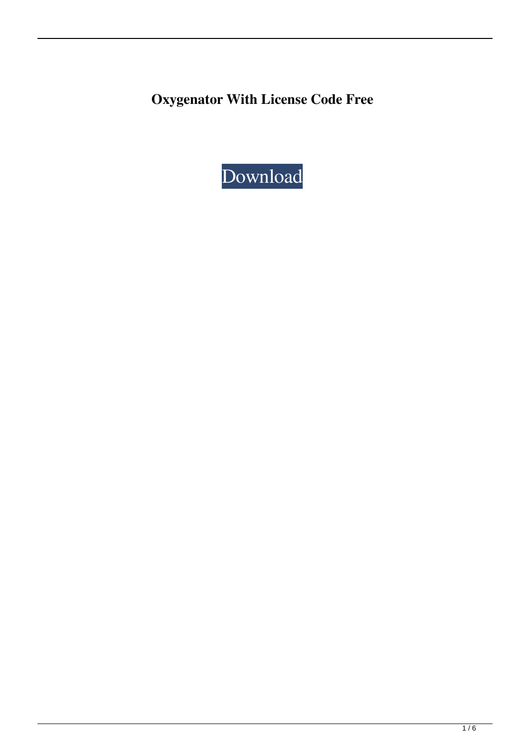**Oxygenator With License Code Free**

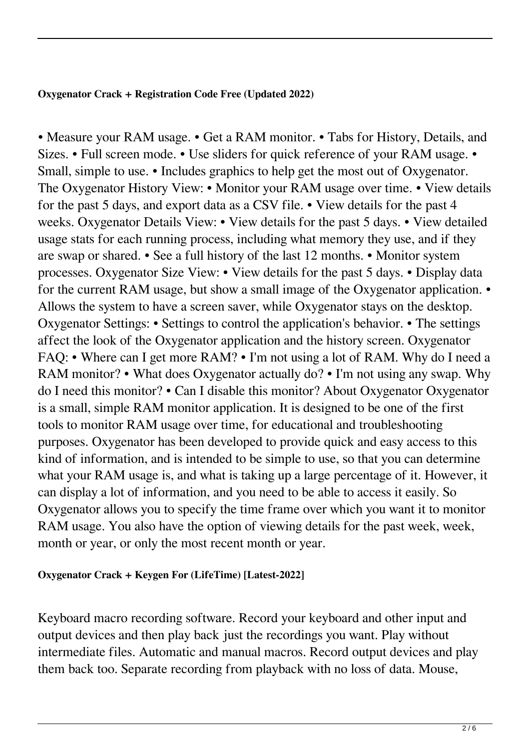# **Oxygenator Crack + Registration Code Free (Updated 2022)**

• Measure your RAM usage. • Get a RAM monitor. • Tabs for History, Details, and Sizes. • Full screen mode. • Use sliders for quick reference of your RAM usage. • Small, simple to use. • Includes graphics to help get the most out of Oxygenator. The Oxygenator History View: • Monitor your RAM usage over time. • View details for the past 5 days, and export data as a CSV file. • View details for the past 4 weeks. Oxygenator Details View: • View details for the past 5 days. • View detailed usage stats for each running process, including what memory they use, and if they are swap or shared. • See a full history of the last 12 months. • Monitor system processes. Oxygenator Size View: • View details for the past 5 days. • Display data for the current RAM usage, but show a small image of the Oxygenator application. • Allows the system to have a screen saver, while Oxygenator stays on the desktop. Oxygenator Settings: • Settings to control the application's behavior. • The settings affect the look of the Oxygenator application and the history screen. Oxygenator FAQ: • Where can I get more RAM? • I'm not using a lot of RAM. Why do I need a RAM monitor? • What does Oxygenator actually do? • I'm not using any swap. Why do I need this monitor? • Can I disable this monitor? About Oxygenator Oxygenator is a small, simple RAM monitor application. It is designed to be one of the first tools to monitor RAM usage over time, for educational and troubleshooting purposes. Oxygenator has been developed to provide quick and easy access to this kind of information, and is intended to be simple to use, so that you can determine what your RAM usage is, and what is taking up a large percentage of it. However, it can display a lot of information, and you need to be able to access it easily. So Oxygenator allows you to specify the time frame over which you want it to monitor RAM usage. You also have the option of viewing details for the past week, week, month or year, or only the most recent month or year.

# **Oxygenator Crack + Keygen For (LifeTime) [Latest-2022]**

Keyboard macro recording software. Record your keyboard and other input and output devices and then play back just the recordings you want. Play without intermediate files. Automatic and manual macros. Record output devices and play them back too. Separate recording from playback with no loss of data. Mouse,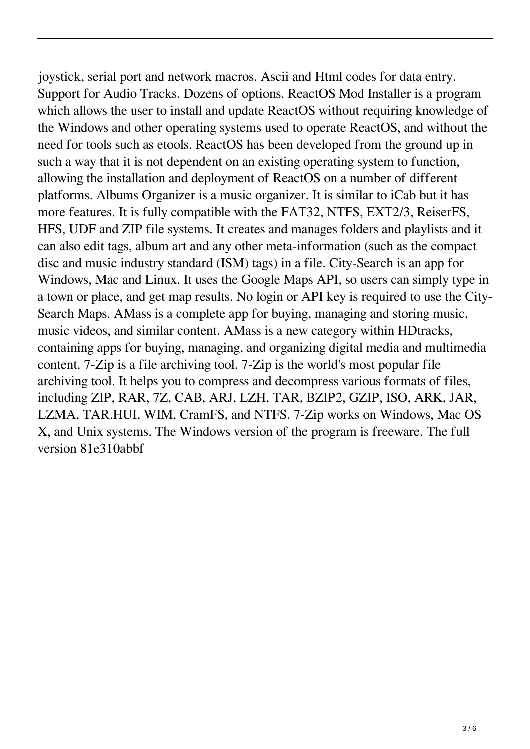joystick, serial port and network macros. Ascii and Html codes for data entry. Support for Audio Tracks. Dozens of options. ReactOS Mod Installer is a program which allows the user to install and update ReactOS without requiring knowledge of the Windows and other operating systems used to operate ReactOS, and without the need for tools such as etools. ReactOS has been developed from the ground up in such a way that it is not dependent on an existing operating system to function, allowing the installation and deployment of ReactOS on a number of different platforms. Albums Organizer is a music organizer. It is similar to iCab but it has more features. It is fully compatible with the FAT32, NTFS, EXT2/3, ReiserFS, HFS, UDF and ZIP file systems. It creates and manages folders and playlists and it can also edit tags, album art and any other meta-information (such as the compact disc and music industry standard (ISM) tags) in a file. City-Search is an app for Windows, Mac and Linux. It uses the Google Maps API, so users can simply type in a town or place, and get map results. No login or API key is required to use the City-Search Maps. AMass is a complete app for buying, managing and storing music, music videos, and similar content. AMass is a new category within HDtracks, containing apps for buying, managing, and organizing digital media and multimedia content. 7-Zip is a file archiving tool. 7-Zip is the world's most popular file archiving tool. It helps you to compress and decompress various formats of files, including ZIP, RAR, 7Z, CAB, ARJ, LZH, TAR, BZIP2, GZIP, ISO, ARK, JAR, LZMA, TAR.HUI, WIM, CramFS, and NTFS. 7-Zip works on Windows, Mac OS X, and Unix systems. The Windows version of the program is freeware. The full version 81e310abbf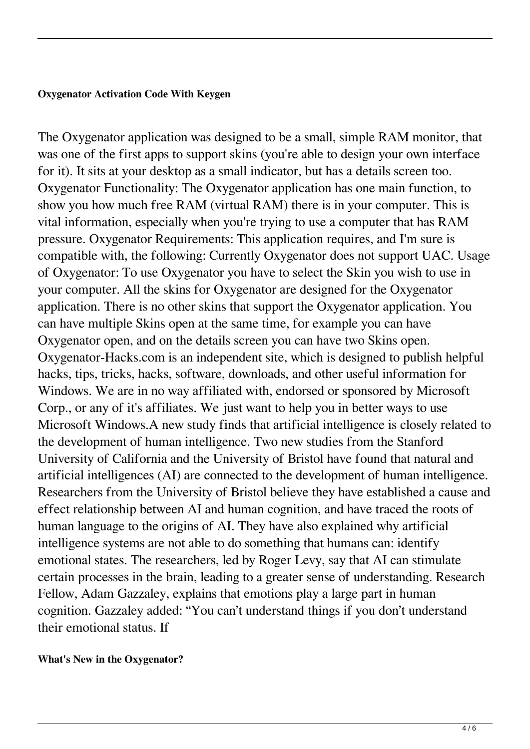#### **Oxygenator Activation Code With Keygen**

The Oxygenator application was designed to be a small, simple RAM monitor, that was one of the first apps to support skins (you're able to design your own interface for it). It sits at your desktop as a small indicator, but has a details screen too. Oxygenator Functionality: The Oxygenator application has one main function, to show you how much free RAM (virtual RAM) there is in your computer. This is vital information, especially when you're trying to use a computer that has RAM pressure. Oxygenator Requirements: This application requires, and I'm sure is compatible with, the following: Currently Oxygenator does not support UAC. Usage of Oxygenator: To use Oxygenator you have to select the Skin you wish to use in your computer. All the skins for Oxygenator are designed for the Oxygenator application. There is no other skins that support the Oxygenator application. You can have multiple Skins open at the same time, for example you can have Oxygenator open, and on the details screen you can have two Skins open. Oxygenator-Hacks.com is an independent site, which is designed to publish helpful hacks, tips, tricks, hacks, software, downloads, and other useful information for Windows. We are in no way affiliated with, endorsed or sponsored by Microsoft Corp., or any of it's affiliates. We just want to help you in better ways to use Microsoft Windows.A new study finds that artificial intelligence is closely related to the development of human intelligence. Two new studies from the Stanford University of California and the University of Bristol have found that natural and artificial intelligences (AI) are connected to the development of human intelligence. Researchers from the University of Bristol believe they have established a cause and effect relationship between AI and human cognition, and have traced the roots of human language to the origins of AI. They have also explained why artificial intelligence systems are not able to do something that humans can: identify emotional states. The researchers, led by Roger Levy, say that AI can stimulate certain processes in the brain, leading to a greater sense of understanding. Research Fellow, Adam Gazzaley, explains that emotions play a large part in human cognition. Gazzaley added: "You can't understand things if you don't understand their emotional status. If

#### **What's New in the Oxygenator?**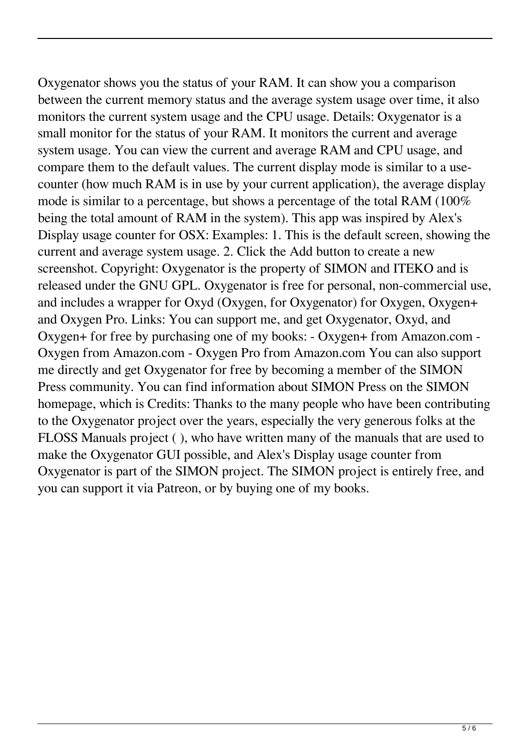Oxygenator shows you the status of your RAM. It can show you a comparison between the current memory status and the average system usage over time, it also monitors the current system usage and the CPU usage. Details: Oxygenator is a small monitor for the status of your RAM. It monitors the current and average system usage. You can view the current and average RAM and CPU usage, and compare them to the default values. The current display mode is similar to a usecounter (how much RAM is in use by your current application), the average display mode is similar to a percentage, but shows a percentage of the total RAM (100% being the total amount of RAM in the system). This app was inspired by Alex's Display usage counter for OSX: Examples: 1. This is the default screen, showing the current and average system usage. 2. Click the Add button to create a new screenshot. Copyright: Oxygenator is the property of SIMON and ITEKO and is released under the GNU GPL. Oxygenator is free for personal, non-commercial use, and includes a wrapper for Oxyd (Oxygen, for Oxygenator) for Oxygen, Oxygen+ and Oxygen Pro. Links: You can support me, and get Oxygenator, Oxyd, and Oxygen+ for free by purchasing one of my books: - Oxygen+ from Amazon.com - Oxygen from Amazon.com - Oxygen Pro from Amazon.com You can also support me directly and get Oxygenator for free by becoming a member of the SIMON Press community. You can find information about SIMON Press on the SIMON homepage, which is Credits: Thanks to the many people who have been contributing to the Oxygenator project over the years, especially the very generous folks at the FLOSS Manuals project ( ), who have written many of the manuals that are used to make the Oxygenator GUI possible, and Alex's Display usage counter from Oxygenator is part of the SIMON project. The SIMON project is entirely free, and you can support it via Patreon, or by buying one of my books.